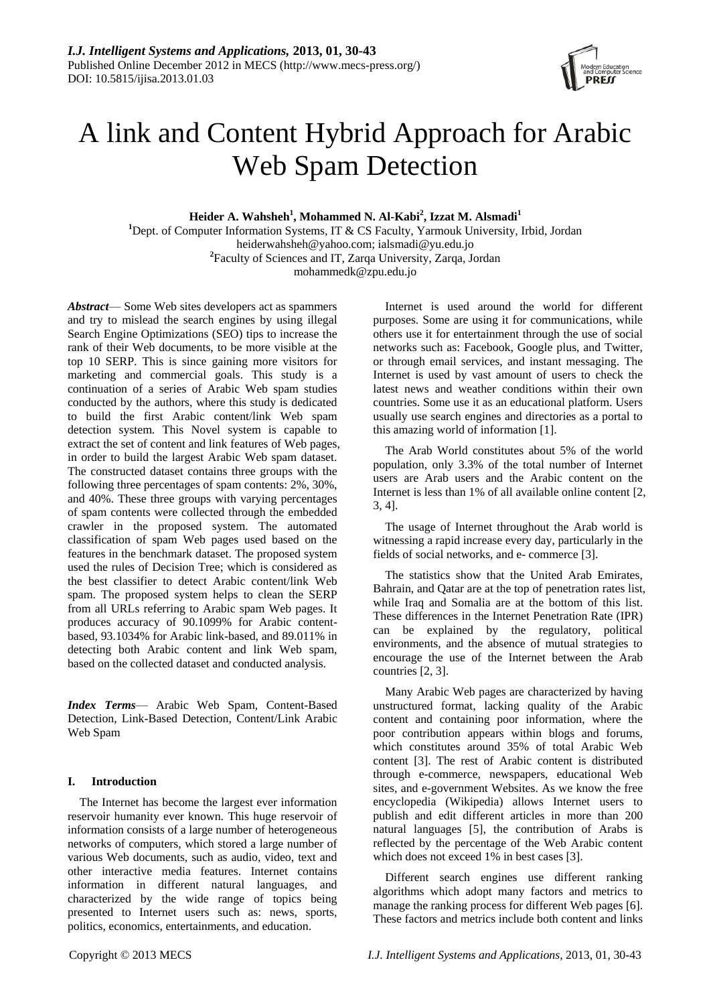

# A link and Content Hybrid Approach for Arabic Web Spam Detection

**Heider A. Wahsheh<sup>1</sup> , Mohammed N. Al-Kabi<sup>2</sup> , Izzat M. Alsmadi<sup>1</sup>**

**<sup>1</sup>**Dept. of Computer Information Systems, IT & CS Faculty, Yarmouk University, Irbid, Jordan [heiderwahsheh@yahoo.com;](mailto:heiderwahsheh@yahoo.com) ialsmadi@yu.edu.jo **2** Faculty of Sciences and IT, Zarqa University, Zarqa, Jordan [mohammedk@zpu.edu.jo](mailto:mohammedk@zpu.edu.jo)

*Abstract*— Some Web sites developers act as spammers and try to mislead the search engines by using illegal Search Engine Optimizations (SEO) tips to increase the rank of their Web documents, to be more visible at the top 10 SERP. This is since gaining more visitors for marketing and commercial goals. This study is a continuation of a series of Arabic Web spam studies conducted by the authors, where this study is dedicated to build the first Arabic content/link Web spam detection system. This Novel system is capable to extract the set of content and link features of Web pages, in order to build the largest Arabic Web spam dataset. The constructed dataset contains three groups with the following three percentages of spam contents: 2%, 30%, and 40%. These three groups with varying percentages of spam contents were collected through the embedded crawler in the proposed system. The automated classification of spam Web pages used based on the features in the benchmark dataset. The proposed system used the rules of Decision Tree; which is considered as the best classifier to detect Arabic content/link Web spam. The proposed system helps to clean the SERP from all URLs referring to Arabic spam Web pages. It produces accuracy of 90.1099% for Arabic contentbased, 93.1034% for Arabic link-based, and 89.011% in detecting both Arabic content and link Web spam, based on the collected dataset and conducted analysis.

*Index Terms*— Arabic Web Spam, Content-Based Detection, Link-Based Detection, Content/Link Arabic Web Spam

# **I. Introduction**

The Internet has become the largest ever information reservoir humanity ever known. This huge reservoir of information consists of a large number of heterogeneous networks of computers, which stored a large number of various Web documents, such as audio, video, text and other interactive media features. Internet contains information in different natural languages, and characterized by the wide range of topics being presented to Internet users such as: news, sports, politics, economics, entertainments, and education.

Internet is used around the world for different purposes. Some are using it for communications, while others use it for entertainment through the use of social networks such as: Facebook, Google plus, and Twitter, or through email services, and instant messaging. The Internet is used by vast amount of users to check the latest news and weather conditions within their own countries. Some use it as an educational platform. Users usually use search engines and directories as a portal to this amazing world of information [1].

The Arab World constitutes about 5% of the world population, only 3.3% of the total number of Internet users are Arab users and the Arabic content on the Internet is less than 1% of all available online content [2, 3, 4].

The usage of Internet throughout the Arab world is witnessing a rapid increase every day, particularly in the fields of social networks, and e- commerce [3].

The statistics show that the United Arab Emirates, Bahrain, and Qatar are at the top of penetration rates list, while Iraq and Somalia are at the bottom of this list. These differences in the Internet Penetration Rate (IPR) can be explained by the regulatory, political environments, and the absence of mutual strategies to encourage the use of the Internet between the Arab countries [2, 3].

Many Arabic Web pages are characterized by having unstructured format, lacking quality of the Arabic content and containing poor information, where the poor contribution appears within blogs and forums, which constitutes around 35% of total Arabic Web content [3]. The rest of Arabic content is distributed through e-commerce, newspapers, educational Web sites, and e-government Websites. As we know the free encyclopedia (Wikipedia) allows Internet users to publish and edit different articles in more than 200 natural languages [5], the contribution of Arabs is reflected by the percentage of the Web Arabic content which does not exceed 1% in best cases [3].

Different search engines use different ranking algorithms which adopt many factors and metrics to manage the ranking process for different Web pages [6]. These factors and metrics include both content and links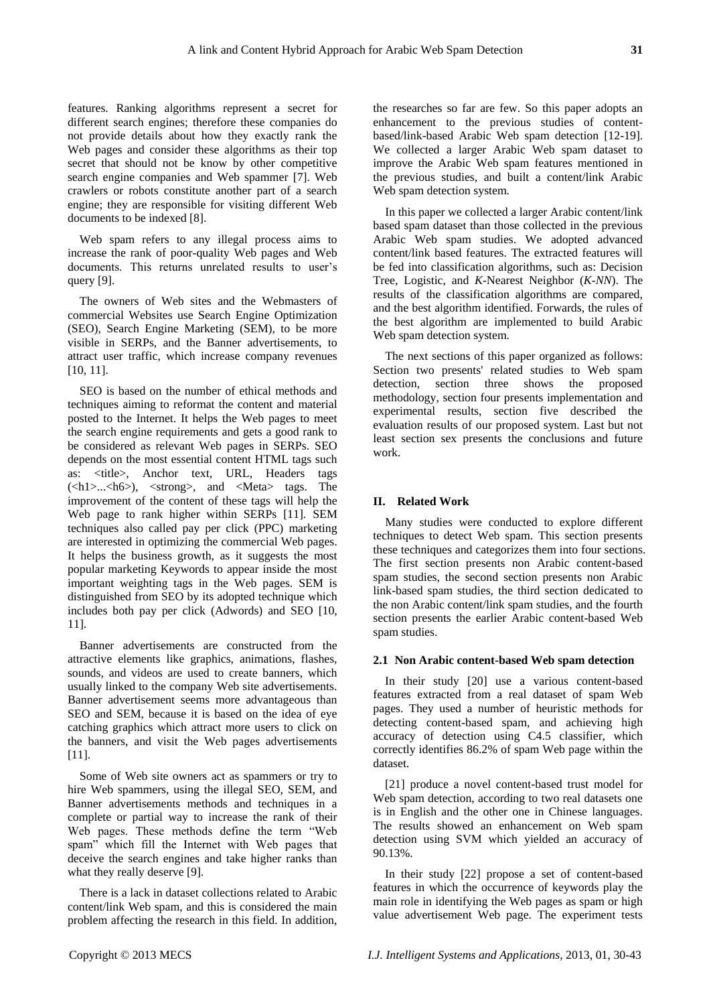features. Ranking algorithms represent a secret for different search engines; therefore these companies do not provide details about how they exactly rank the Web pages and consider these algorithms as their top secret that should not be know by other competitive search engine companies and Web spammer [7]. Web crawlers or robots constitute another part of a search engine; they are responsible for visiting different Web documents to be indexed [8].

Web spam refers to any illegal process aims to increase the rank of poor-quality Web pages and Web documents. This returns unrelated results to user's query [9].

The owners of Web sites and the Webmasters of commercial Websites use Search Engine Optimization (SEO), Search Engine Marketing (SEM), to be more visible in SERPs, and the Banner advertisements, to attract user traffic, which increase company revenues [10, 11].

SEO is based on the number of ethical methods and techniques aiming to reformat the content and material posted to the Internet. It helps the Web pages to meet the search engine requirements and gets a good rank to be considered as relevant Web pages in SERPs. SEO depends on the most essential content HTML tags such as: <title>, Anchor text, URL, Headers tags (<h1>...<h6>), <strong>, and <Meta> tags. The improvement of the content of these tags will help the Web page to rank higher within SERPs [11]. SEM techniques also called pay per click (PPC) marketing are interested in optimizing the commercial Web pages. It helps the business growth, as it suggests the most popular marketing Keywords to appear inside the most important weighting tags in the Web pages. SEM is distinguished from SEO by its adopted technique which includes both pay per click (Adwords) and SEO [10, 11].

Banner advertisements are constructed from the attractive elements like graphics, animations, flashes, sounds, and videos are used to create banners, which usually linked to the company Web site advertisements. Banner advertisement seems more advantageous than SEO and SEM, because it is based on the idea of eye catching graphics which attract more users to click on the banners, and visit the Web pages advertisements [11].

Some of Web site owners act as spammers or try to hire Web spammers, using the illegal SEO, SEM, and Banner advertisements methods and techniques in a complete or partial way to increase the rank of their Web pages. These methods define the term "Web spam" which fill the Internet with Web pages that deceive the search engines and take higher ranks than what they really deserve [9].

There is a lack in dataset collections related to Arabic content/link Web spam, and this is considered the main problem affecting the research in this field. In addition,

the researches so far are few. So this paper adopts an enhancement to the previous studies of contentbased/link-based Arabic Web spam detection [12-19]. We collected a larger Arabic Web spam dataset to improve the Arabic Web spam features mentioned in the previous studies, and built a content/link Arabic Web spam detection system.

In this paper we collected a larger Arabic content/link based spam dataset than those collected in the previous Arabic Web spam studies. We adopted advanced content/link based features. The extracted features will be fed into classification algorithms, such as: Decision Tree, Logistic, and *K*-Nearest Neighbor (*K-NN*). The results of the classification algorithms are compared, and the best algorithm identified. Forwards, the rules of the best algorithm are implemented to build Arabic Web spam detection system.

The next sections of this paper organized as follows: Section two presents' related studies to Web spam detection, section three shows the proposed methodology, section four presents implementation and experimental results, section five described the evaluation results of our proposed system. Last but not least section sex presents the conclusions and future work.

# **II. Related Work**

Many studies were conducted to explore different techniques to detect Web spam. This section presents these techniques and categorizes them into four sections. The first section presents non Arabic content-based spam studies, the second section presents non Arabic link-based spam studies, the third section dedicated to the non Arabic content/link spam studies, and the fourth section presents the earlier Arabic content-based Web spam studies.

# **2.1 Non Arabic content-based Web spam detection**

In their study [20] use a various content-based features extracted from a real dataset of spam Web pages. They used a number of heuristic methods for detecting content-based spam, and achieving high accuracy of detection using C4.5 classifier, which correctly identifies 86.2% of spam Web page within the dataset.

[21] produce a novel content-based trust model for Web spam detection, according to two real datasets one is in English and the other one in Chinese languages. The results showed an enhancement on Web spam detection using SVM which yielded an accuracy of 90.13%.

In their study [22] propose a set of content-based features in which the occurrence of keywords play the main role in identifying the Web pages as spam or high value advertisement Web page. The experiment tests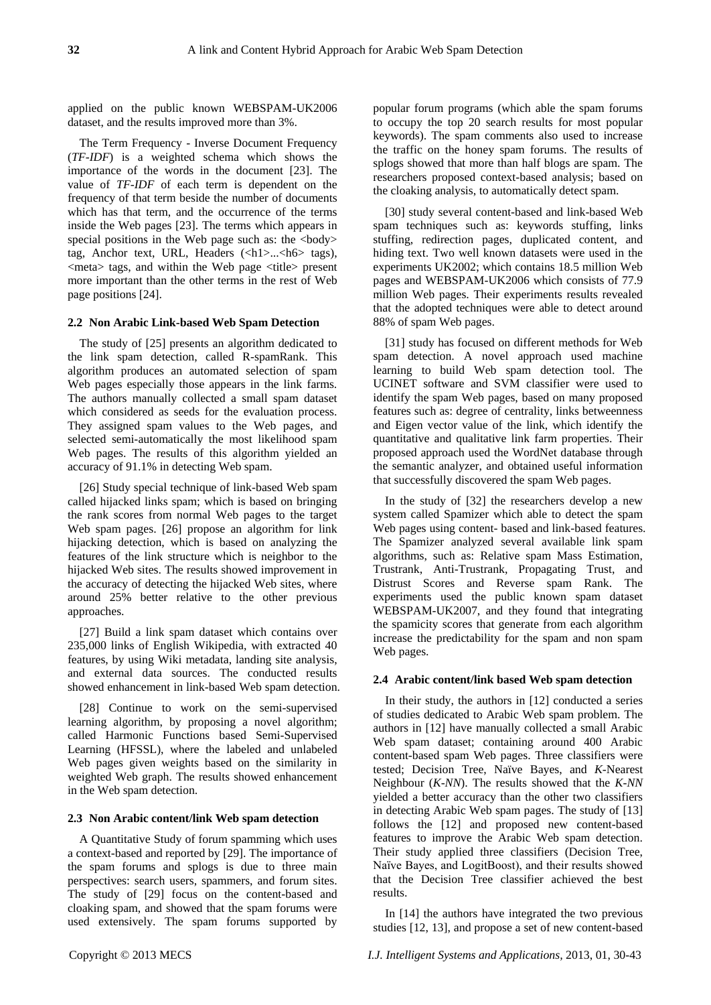applied on the public known WEBSPAM-UK2006 dataset, and the results improved more than 3%.

The Term Frequency - Inverse Document Frequency (*TF-IDF*) is a weighted schema which shows the importance of the words in the document [23]. The value of *TF-IDF* of each term is dependent on the frequency of that term beside the number of documents which has that term, and the occurrence of the terms inside the Web pages [23]. The terms which appears in special positions in the Web page such as: the <br/>body> tag, Anchor text, URL, Headers (<h1>...<h6> tags), <meta> tags, and within the Web page <title> present more important than the other terms in the rest of Web page positions [24].

# **2.2 Non Arabic Link-based Web Spam Detection**

The study of [25] presents an algorithm dedicated to the link spam detection, called R-spamRank. This algorithm produces an automated selection of spam Web pages especially those appears in the link farms. The authors manually collected a small spam dataset which considered as seeds for the evaluation process. They assigned spam values to the Web pages, and selected semi-automatically the most likelihood spam Web pages. The results of this algorithm yielded an accuracy of 91.1% in detecting Web spam.

[26] Study special technique of link-based Web spam called hijacked links spam; which is based on bringing the rank scores from normal Web pages to the target Web spam pages. [26] propose an algorithm for link hijacking detection, which is based on analyzing the features of the link structure which is neighbor to the hijacked Web sites. The results showed improvement in the accuracy of detecting the hijacked Web sites, where around 25% better relative to the other previous approaches.

[27] Build a link spam dataset which contains over 235,000 links of English Wikipedia, with extracted 40 features, by using Wiki metadata, landing site analysis, and external data sources. The conducted results showed enhancement in link-based Web spam detection.

[28] Continue to work on the semi-supervised learning algorithm, by proposing a novel algorithm; called Harmonic Functions based Semi-Supervised Learning (HFSSL), where the labeled and unlabeled Web pages given weights based on the similarity in weighted Web graph. The results showed enhancement in the Web spam detection.

## **2.3 Non Arabic content/link Web spam detection**

A Quantitative Study of forum spamming which uses a context-based and reported by [29]. The importance of the spam forums and splogs is due to three main perspectives: search users, spammers, and forum sites. The study of [29] focus on the content-based and cloaking spam, and showed that the spam forums were used extensively. The spam forums supported by

popular forum programs (which able the spam forums to occupy the top 20 search results for most popular keywords). The spam comments also used to increase the traffic on the honey spam forums. The results of splogs showed that more than half blogs are spam. The researchers proposed context-based analysis; based on the cloaking analysis, to automatically detect spam.

[30] study several content-based and link-based Web spam techniques such as: keywords stuffing, links stuffing, redirection pages, duplicated content, and hiding text. Two well known datasets were used in the experiments UK2002; which contains 18.5 million Web pages and WEBSPAM-UK2006 which consists of 77.9 million Web pages. Their experiments results revealed that the adopted techniques were able to detect around 88% of spam Web pages.

[31] study has focused on different methods for Web spam detection. A novel approach used machine learning to build Web spam detection tool. The UCINET software and SVM classifier were used to identify the spam Web pages, based on many proposed features such as: degree of centrality, links betweenness and Eigen vector value of the link, which identify the quantitative and qualitative link farm properties. Their proposed approach used the WordNet database through the semantic analyzer, and obtained useful information that successfully discovered the spam Web pages.

In the study of [32] the researchers develop a new system called Spamizer which able to detect the spam Web pages using content- based and link-based features. The Spamizer analyzed several available link spam algorithms, such as: Relative spam Mass Estimation, Trustrank, Anti-Trustrank, Propagating Trust, and Distrust Scores and Reverse spam Rank. The experiments used the public known spam dataset WEBSPAM-UK2007, and they found that integrating the spamicity scores that generate from each algorithm increase the predictability for the spam and non spam Web pages.

#### **2.4 Arabic content/link based Web spam detection**

In their study, the authors in [12] conducted a series of studies dedicated to Arabic Web spam problem. The authors in [12] have manually collected a small Arabic Web spam dataset; containing around 400 Arabic content-based spam Web pages. Three classifiers were tested; Decision Tree, Naïve Bayes, and *K*-Nearest Neighbour (*K-NN*). The results showed that the *K-NN* yielded a better accuracy than the other two classifiers in detecting Arabic Web spam pages. The study of [13] follows the [12] and proposed new content-based features to improve the Arabic Web spam detection. Their study applied three classifiers (Decision Tree, Naїve Bayes, and LogitBoost), and their results showed that the Decision Tree classifier achieved the best results.

In [14] the authors have integrated the two previous studies [12, 13], and propose a set of new content-based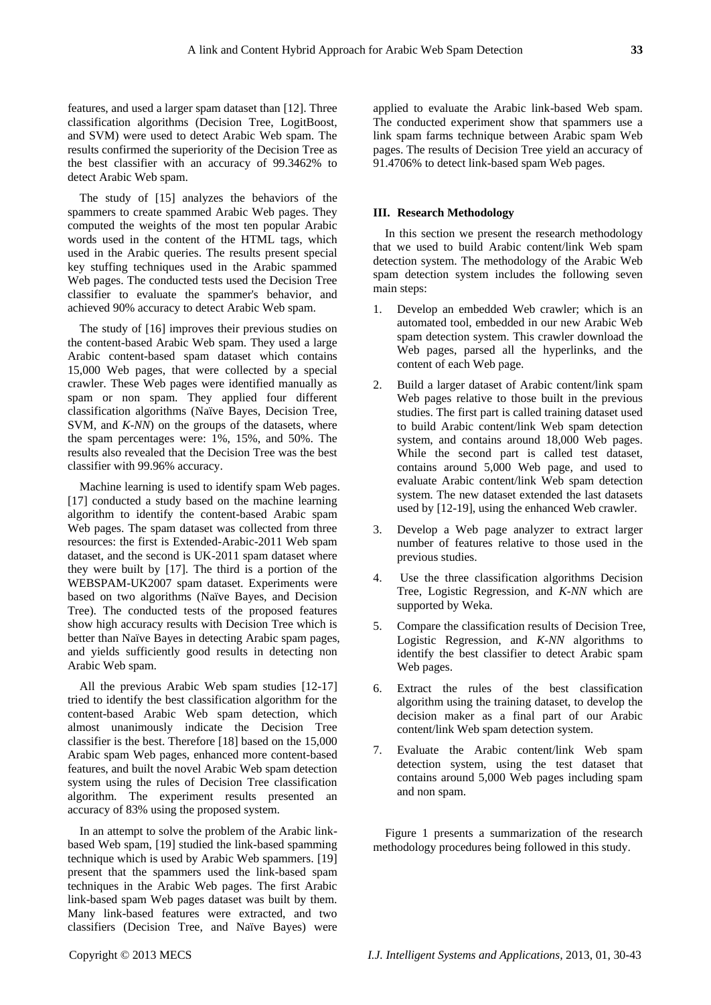features, and used a larger spam dataset than [12]. Three classification algorithms (Decision Tree, LogitBoost, and SVM) were used to detect Arabic Web spam. The results confirmed the superiority of the Decision Tree as the best classifier with an accuracy of 99.3462% to detect Arabic Web spam.

The study of [15] analyzes the behaviors of the spammers to create spammed Arabic Web pages. They computed the weights of the most ten popular Arabic words used in the content of the HTML tags, which used in the Arabic queries. The results present special key stuffing techniques used in the Arabic spammed Web pages. The conducted tests used the Decision Tree classifier to evaluate the spammer's behavior, and achieved 90% accuracy to detect Arabic Web spam.

The study of [16] improves their previous studies on the content-based Arabic Web spam. They used a large Arabic content-based spam dataset which contains 15,000 Web pages, that were collected by a special crawler. These Web pages were identified manually as spam or non spam. They applied four different classification algorithms (Naïve Bayes, Decision Tree, SVM, and *K-NN*) on the groups of the datasets, where the spam percentages were: 1%, 15%, and 50%. The results also revealed that the Decision Tree was the best classifier with 99.96% accuracy.

Machine learning is used to identify spam Web pages. [17] conducted a study based on the machine learning algorithm to identify the content-based Arabic spam Web pages. The spam dataset was collected from three resources: the first is Extended-Arabic-2011 Web spam dataset, and the second is UK-2011 spam dataset where they were built by [17]. The third is a portion of the WEBSPAM-UK2007 spam dataset. Experiments were based on two algorithms (Na ve Bayes, and Decision Tree). The conducted tests of the proposed features show high accuracy results with Decision Tree which is better than Na ive Bayes in detecting Arabic spam pages, and yields sufficiently good results in detecting non Arabic Web spam.

All the previous Arabic Web spam studies [12-17] tried to identify the best classification algorithm for the content-based Arabic Web spam detection, which almost unanimously indicate the Decision Tree classifier is the best. Therefore [18] based on the 15,000 Arabic spam Web pages, enhanced more content-based features, and built the novel Arabic Web spam detection system using the rules of Decision Tree classification algorithm. The experiment results presented an accuracy of 83% using the proposed system.

In an attempt to solve the problem of the Arabic linkbased Web spam, [19] studied the link-based spamming technique which is used by Arabic Web spammers. [19] present that the spammers used the link-based spam techniques in the Arabic Web pages. The first Arabic link-based spam Web pages dataset was built by them. Many link-based features were extracted, and two classifiers (Decision Tree, and Naïve Bayes) were

applied to evaluate the Arabic link-based Web spam. The conducted experiment show that spammers use a link spam farms technique between Arabic spam Web pages. The results of Decision Tree yield an accuracy of 91.4706% to detect link-based spam Web pages.

## **III. Research Methodology**

In this section we present the research methodology that we used to build Arabic content/link Web spam detection system. The methodology of the Arabic Web spam detection system includes the following seven main steps:

- 1. Develop an embedded Web crawler; which is an automated tool, embedded in our new Arabic Web spam detection system. This crawler download the Web pages, parsed all the hyperlinks, and the content of each Web page.
- 2. Build a larger dataset of Arabic content/link spam Web pages relative to those built in the previous studies. The first part is called training dataset used to build Arabic content/link Web spam detection system, and contains around 18,000 Web pages. While the second part is called test dataset, contains around 5,000 Web page, and used to evaluate Arabic content/link Web spam detection system. The new dataset extended the last datasets used by [12-19], using the enhanced Web crawler.
- 3. Develop a Web page analyzer to extract larger number of features relative to those used in the previous studies.
- 4. Use the three classification algorithms Decision Tree, Logistic Regression, and *K-NN* which are supported by Weka.
- 5. Compare the classification results of Decision Tree, Logistic Regression, and *K-NN* algorithms to identify the best classifier to detect Arabic spam Web pages.
- 6. Extract the rules of the best classification algorithm using the training dataset, to develop the decision maker as a final part of our Arabic content/link Web spam detection system.
- 7. Evaluate the Arabic content/link Web spam detection system, using the test dataset that contains around 5,000 Web pages including spam and non spam.

Figure 1 presents a summarization of the research methodology procedures being followed in this study.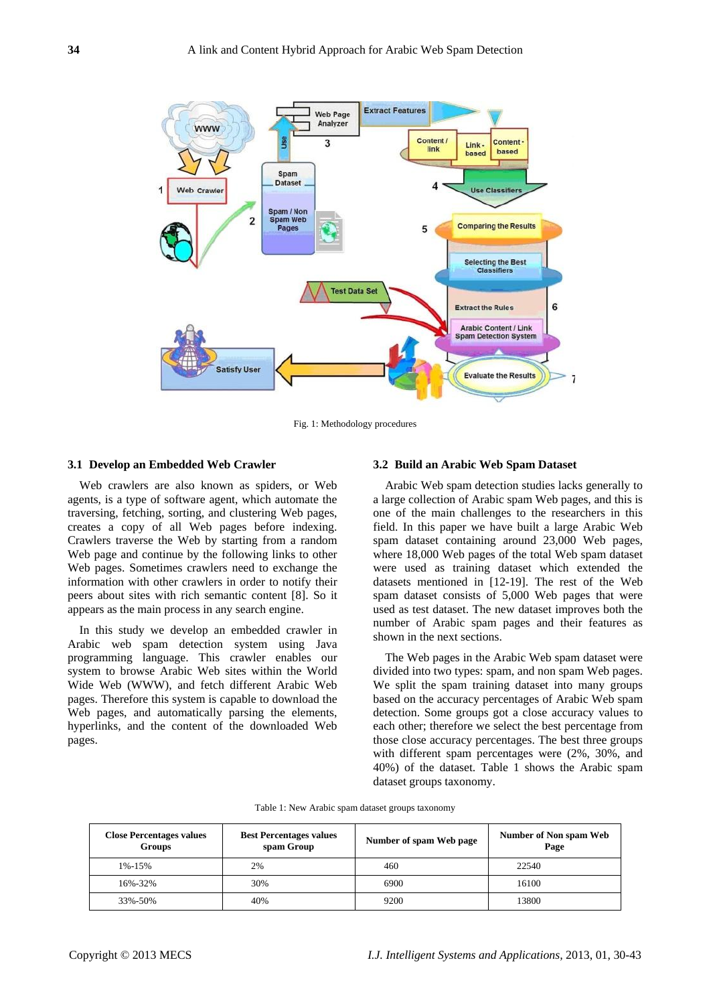

Fig. 1: Methodology procedures

#### **3.1 Develop an Embedded Web Crawler**

Web crawlers are also known as spiders, or Web agents, is a type of software agent, which automate the traversing, fetching, sorting, and clustering Web pages, creates a copy of all Web pages before indexing. Crawlers traverse the Web by starting from a random Web page and continue by the following links to other Web pages. Sometimes crawlers need to exchange the information with other crawlers in order to notify their peers about sites with rich semantic content [8]. So it appears as the main process in any search engine.

In this study we develop an embedded crawler in Arabic web spam detection system using Java programming language. This crawler enables our system to browse Arabic Web sites within the World Wide Web (WWW), and fetch different Arabic Web pages. Therefore this system is capable to download the Web pages, and automatically parsing the elements, hyperlinks, and the content of the downloaded Web pages.

#### **3.2 Build an Arabic Web Spam Dataset**

Arabic Web spam detection studies lacks generally to a large collection of Arabic spam Web pages, and this is one of the main challenges to the researchers in this field. In this paper we have built a large Arabic Web spam dataset containing around 23,000 Web pages, where 18,000 Web pages of the total Web spam dataset were used as training dataset which extended the datasets mentioned in [12-19]. The rest of the Web spam dataset consists of 5,000 Web pages that were used as test dataset. The new dataset improves both the number of Arabic spam pages and their features as shown in the next sections.

The Web pages in the Arabic Web spam dataset were divided into two types: spam, and non spam Web pages. We split the spam training dataset into many groups based on the accuracy percentages of Arabic Web spam detection. Some groups got a close accuracy values to each other; therefore we select the best percentage from those close accuracy percentages. The best three groups with different spam percentages were (2%, 30%, and 40%) of the dataset. Table 1 shows the Arabic spam dataset groups taxonomy.

| Table 1: New Arabic spam dataset groups taxonomy |  |  |
|--------------------------------------------------|--|--|
|--------------------------------------------------|--|--|

| <b>Close Percentages values</b><br><b>Best Percentages values</b><br>spam Group<br><b>Groups</b> |     | Number of spam Web page | Number of Non spam Web<br>Page |  |
|--------------------------------------------------------------------------------------------------|-----|-------------------------|--------------------------------|--|
| 1%-15%                                                                                           | 2%  | 460                     | 22540                          |  |
| 16%-32%                                                                                          | 30% | 6900                    | 16100                          |  |
| 33%-50%                                                                                          | 40% | 9200                    | 13800                          |  |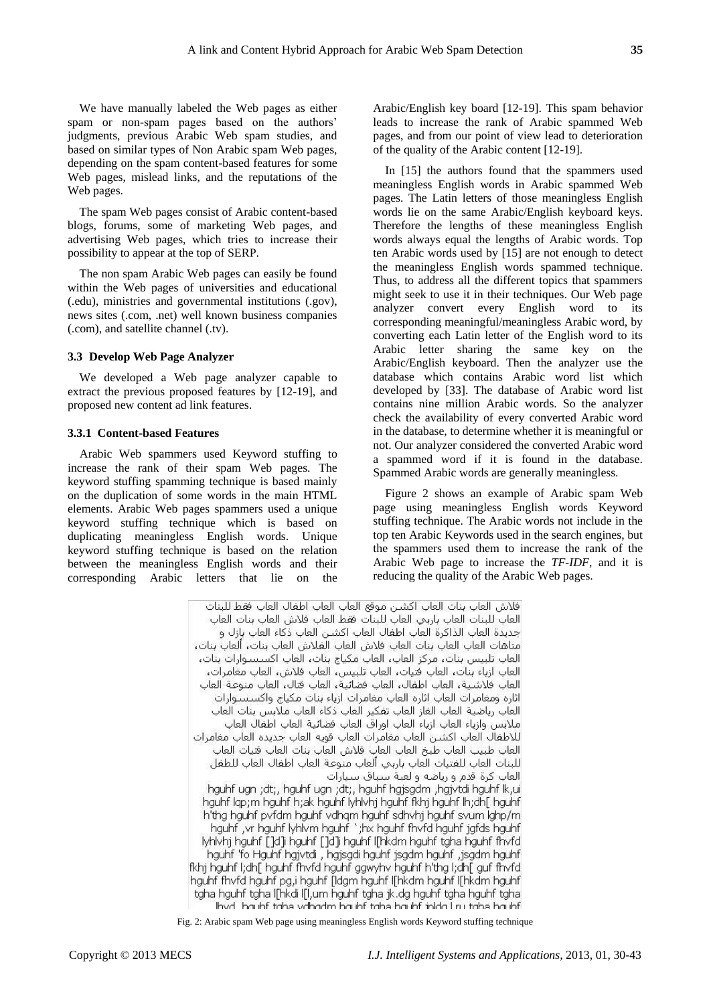We have manually labeled the Web pages as either spam or non-spam pages based on the authors' judgments, previous Arabic Web spam studies, and based on similar types of Non Arabic spam Web pages, depending on the spam content-based features for some Web pages, mislead links, and the reputations of the Web pages.

The spam Web pages consist of Arabic content-based blogs, forums, some of marketing Web pages, and advertising Web pages, which tries to increase their possibility to appear at the top of SERP.

The non spam Arabic Web pages can easily be found within the Web pages of universities and educational (.edu), ministries and governmental institutions (.gov), news sites (.com, .net) well known business companies (.com), and satellite channel (.tv).

#### **3.3 Develop Web Page Analyzer**

We developed a Web page analyzer capable to extract the previous proposed features by [12-19], and proposed new content ad link features.

## **3.3.1 Content-based Features**

Arabic Web spammers used Keyword stuffing to increase the rank of their spam Web pages. The keyword stuffing spamming technique is based mainly on the duplication of some words in the main HTML elements. Arabic Web pages spammers used a unique keyword stuffing technique which is based on duplicating meaningless English words. Unique keyword stuffing technique is based on the relation between the meaningless English words and their corresponding Arabic letters that lie on the Arabic/English key board [12-19]. This spam behavior leads to increase the rank of Arabic spammed Web pages, and from our point of view lead to deterioration of the quality of the Arabic content [12-19].

In [15] the authors found that the spammers used meaningless English words in Arabic spammed Web pages. The Latin letters of those meaningless English words lie on the same Arabic/English keyboard keys. Therefore the lengths of these meaningless English words always equal the lengths of Arabic words. Top ten Arabic words used by [15] are not enough to detect the meaningless English words spammed technique. Thus, to address all the different topics that spammers might seek to use it in their techniques. Our Web page analyzer convert every English word to its corresponding meaningful/meaningless Arabic word, by converting each Latin letter of the English word to its Arabic letter sharing the same key on the Arabic/English keyboard. Then the analyzer use the database which contains Arabic word list which developed by [33]. The database of Arabic word list contains nine million Arabic words. So the analyzer check the availability of every converted Arabic word in the database, to determine whether it is meaningful or not. Our analyzer considered the converted Arabic word a spammed word if it is found in the database. Spammed Arabic words are generally meaningless.

Figure 2 shows an example of Arabic spam Web page using meaningless English words Keyword stuffing technique. The Arabic words not include in the top ten Arabic Keywords used in the search engines, but the spammers used them to increase the rank of the Arabic Web page to increase the *TF-IDF*, and it is reducing the quality of the Arabic Web pages.

فلاش العاب بنات العاب اكشين موقع العاب العاب اطفال العاب فقط للبنات العاب للبنات العاب باربي العاب للبنات فقط العاب فلاش العاب بنات العاب جديدة العاب الذاكرة العاب اطفال العاب اكشن العاب ذكاء العاب بازل و متاهات العاب العاب بنات العاب فلاش العاب الفلاش العاب بنات، ألعاب بنات، العاب تلبيس بنات، مركز العاب، العابَ مكياج بنات، العاب اكسـسـوارات بنات، العاب ازياء بنات، العاب فتيات، العاب تلبيس، العاب فلاش، العاب مفامرات، العاب فلاشتية، العاب اطفال، العاب فضائيةً، العاب قتال، العاب منوعة العاب أثاره ومغامرات العاب أثاره العاب مغامرات ازياء بنات مكياج واكسيسوارات العاب رياضية العاب الغاز العاب تفكير العاب ذكاء العاب ملابس بنات العاب ملابس وازياء العاب ازياء العاب اوراق العاب فضائية العاب اطفال العاب للاطفال العاب اكشين العاب مغامرات العاب قويه العاب جديده العاب مغامرات العاب طبيب العاب طبخ العاب العاب فلاش العاب بنات العاب فتيات العاب للبنات العاب للفتيات العاب باربي ألعاب منوعة العاب اطفال العاب للطفل العاب كرة قدم و رياضه و لعبة سيباق سيارات hguhf ugn ;dt;, hguhf ugn ;dt;, hguhf hgjsgdm ,hgjvtdi hguhf lk,ui hguhf lqp;m hguhf h;ak hguhf lyhlvhj hguhf fkhj hguhf lh;dh[ hguhf h'thg hguhf pvfdm hguhf vdhqm hguhf sdhvhj hguhf svum lghp/m hguhf, yr hguhf lyhlvm hguhf `;hx hguhf fhvfd hguhf jgfds hguhf lyhlvhj hguhf []d]i hguhf []d]i hguhf l[hkdm hguhf tgha hguhf fhvfd hguhf 'fo Hguhf hgjvtdi , hgjsgdi hguhf jsgdm hguhf ,jsgdm hguhf fkhj hguhf l;dh[ hguhf fhvfd hguhf ggwyhv hguhf h'thg l;dh[ guf fhvfd hguhf fhvfd hguhf pg,i hguhf [ldgm hguhf l[hkdm hguhf l[hkdm hguhf tgha hguhf tgha l[hkdi l[l,um hguhf tgha jk.dg hguhf tgha hguhf tgha lhvd hauhf taha vahadm hauhf taha hauhf inlda Lru taha hauhf

Fig. 2: Arabic spam Web page using meaningless English words Keyword stuffing technique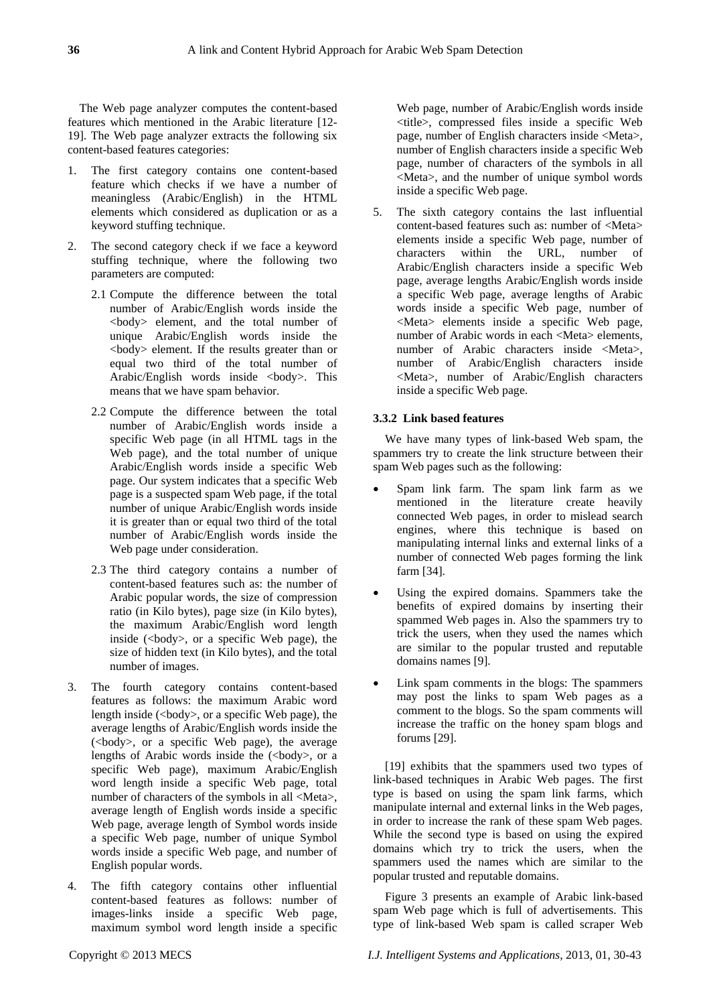The Web page analyzer computes the content-based features which mentioned in the Arabic literature [12- 19]. The Web page analyzer extracts the following six content-based features categories:

- 1. The first category contains one content-based feature which checks if we have a number of meaningless (Arabic/English) in the HTML elements which considered as duplication or as a keyword stuffing technique.
- 2. The second category check if we face a keyword stuffing technique, where the following two parameters are computed:
	- 2.1 Compute the difference between the total number of Arabic/English words inside the <body> element, and the total number of unique Arabic/English words inside the <body> element. If the results greater than or equal two third of the total number of Arabic/English words inside <br/>body>. This means that we have spam behavior.
	- 2.2 Compute the difference between the total number of Arabic/English words inside a specific Web page (in all HTML tags in the Web page), and the total number of unique Arabic/English words inside a specific Web page. Our system indicates that a specific Web page is a suspected spam Web page, if the total number of unique Arabic/English words inside it is greater than or equal two third of the total number of Arabic/English words inside the Web page under consideration.
	- 2.3 The third category contains a number of content-based features such as: the number of Arabic popular words, the size of compression ratio (in Kilo bytes), page size (in Kilo bytes), the maximum Arabic/English word length inside  $\langle \text{body} \rangle$ , or a specific Web page), the size of hidden text (in Kilo bytes), and the total number of images.
- 3. The fourth category contains content-based features as follows: the maximum Arabic word length inside (<body>, or a specific Web page), the average lengths of Arabic/English words inside the (<body>, or a specific Web page), the average lengths of Arabic words inside the  $\langle \text{cbody} \rangle$ , or a specific Web page), maximum Arabic/English word length inside a specific Web page, total number of characters of the symbols in all <Meta>, average length of English words inside a specific Web page, average length of Symbol words inside a specific Web page, number of unique Symbol words inside a specific Web page, and number of English popular words.
- 4. The fifth category contains other influential content-based features as follows: number of images-links inside a specific Web page, maximum symbol word length inside a specific

Web page, number of Arabic/English words inside <title>, compressed files inside a specific Web page, number of English characters inside <Meta>, number of English characters inside a specific Web page, number of characters of the symbols in all <Meta>, and the number of unique symbol words inside a specific Web page.

5. The sixth category contains the last influential content-based features such as: number of <Meta> elements inside a specific Web page, number of characters within the URL, number of Arabic/English characters inside a specific Web page, average lengths Arabic/English words inside a specific Web page, average lengths of Arabic words inside a specific Web page, number of <Meta> elements inside a specific Web page, number of Arabic words in each <Meta> elements, number of Arabic characters inside <Meta>, number of Arabic/English characters inside <Meta>, number of Arabic/English characters inside a specific Web page.

# **3.3.2 Link based features**

We have many types of link-based Web spam, the spammers try to create the link structure between their spam Web pages such as the following:

- Spam link farm. The spam link farm as we mentioned in the literature create heavily connected Web pages, in order to mislead search engines, where this technique is based on manipulating internal links and external links of a number of connected Web pages forming the link farm [34].
- Using the expired domains. Spammers take the benefits of expired domains by inserting their spammed Web pages in. Also the spammers try to trick the users, when they used the names which are similar to the popular trusted and reputable domains names [9].
- Link spam comments in the blogs: The spammers may post the links to spam Web pages as a comment to the blogs. So the spam comments will increase the traffic on the honey spam blogs and forums [29].

[19] exhibits that the spammers used two types of link-based techniques in Arabic Web pages. The first type is based on using the spam link farms, which manipulate internal and external links in the Web pages, in order to increase the rank of these spam Web pages. While the second type is based on using the expired domains which try to trick the users, when the spammers used the names which are similar to the popular trusted and reputable domains.

Figure 3 presents an example of Arabic link-based spam Web page which is full of advertisements. This type of link-based Web spam is called scraper Web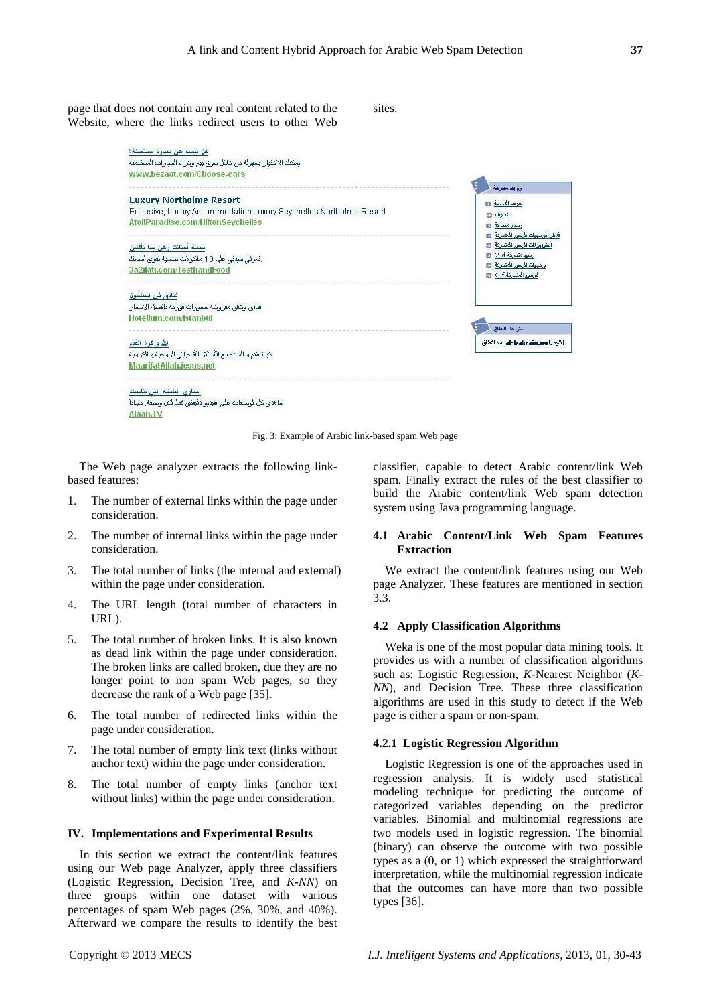page that does not contain any real content related to the Website, where the links redirect users to other Web sites.

| www.bezaat.com/Choose-cars                                                   | روابط مقترحة                                 |
|------------------------------------------------------------------------------|----------------------------------------------|
| <b>Luxury Northolme Resort</b>                                               | غرف الأربيثة. ن                              |
| Exclusive, Luxury Accommodation Luxury Seychelles Northolme Resort           | تعارف ف                                      |
| AtollParadise.com/HiltonSevchelles                                           | رسور متمركة و                                |
|                                                                              | فدش البرمجيات للرسوم المتحركة [8]            |
| ستة أسنانك رهن بما ناكلين                                                    | استونبورفات الرسوم المتمركة ال               |
| ِ نَحْرِ فِي سَنِدَنِي عَلَى 10 مَأْكُولَاتَ صَنْحَيَّةً نَقْوَى أَسْتَاتَكَ | رسوم متحركة a 2 D<br>برمجيات الرسوم المتحركة |
| 3a2ilati.com/TeethandFood                                                    | للرسوم المتحركة Gif C                        |
| فنادق فی اسطنبول<br>فنادق وشقق مغروشة حجوزات فور ية بافضل الإسعار            |                                              |
| Hotelium.com/Istanbul                                                        |                                              |
|                                                                              | الثقر هذا النطاق                             |
|                                                                              | الليح al-bahrain.net اسر المحلق              |
| كرة القدم و السلام مع الله غيَّن الله حبائي الروحبة و الكروية                |                                              |
| MaarifatAllah.jesus.net                                                      |                                              |
| الله وكرة القدم                                                              |                                              |

Fig. 3: Example of Arabic link-based spam Web page

The Web page analyzer extracts the following linkbased features:

- 1. The number of external links within the page under consideration.
- 2. The number of internal links within the page under consideration.
- 3. The total number of links (the internal and external) within the page under consideration.
- 4. The URL length (total number of characters in URL).
- 5. The total number of broken links. It is also known as dead link within the page under consideration. The broken links are called broken, due they are no longer point to non spam Web pages, so they decrease the rank of a Web page [35].
- 6. The total number of redirected links within the page under consideration.
- 7. The total number of empty link text (links without anchor text) within the page under consideration.
- 8. The total number of empty links (anchor text without links) within the page under consideration.

#### **IV. Implementations and Experimental Results**

In this section we extract the content/link features using our Web page Analyzer, apply three classifiers (Logistic Regression, Decision Tree, and *K-NN*) on three groups within one dataset with various percentages of spam Web pages (2%, 30%, and 40%). Afterward we compare the results to identify the best

classifier, capable to detect Arabic content/link Web spam. Finally extract the rules of the best classifier to build the Arabic content/link Web spam detection system using Java programming language.

## **4.1 Arabic Content/Link Web Spam Features Extraction**

We extract the content/link features using our Web page Analyzer. These features are mentioned in section 3.3.

#### **4.2 Apply Classification Algorithms**

Weka is one of the most popular data mining tools. It provides us with a number of classification algorithms such as: Logistic Regression, *K*-Nearest Neighbor (*K-NN*), and Decision Tree. These three classification algorithms are used in this study to detect if the Web page is either a spam or non-spam.

### **4.2.1 Logistic Regression Algorithm**

Logistic Regression is one of the approaches used in regression analysis. It is widely used statistical modeling technique for predicting the outcome of categorized variables depending on the predictor variables. Binomial and multinomial regressions are two models used in logistic regression. The binomial (binary) can observe the outcome with two possible types as a (0, or 1) which expressed the straightforward interpretation, while the multinomial regression indicate that the outcomes can have more than two possible types [36].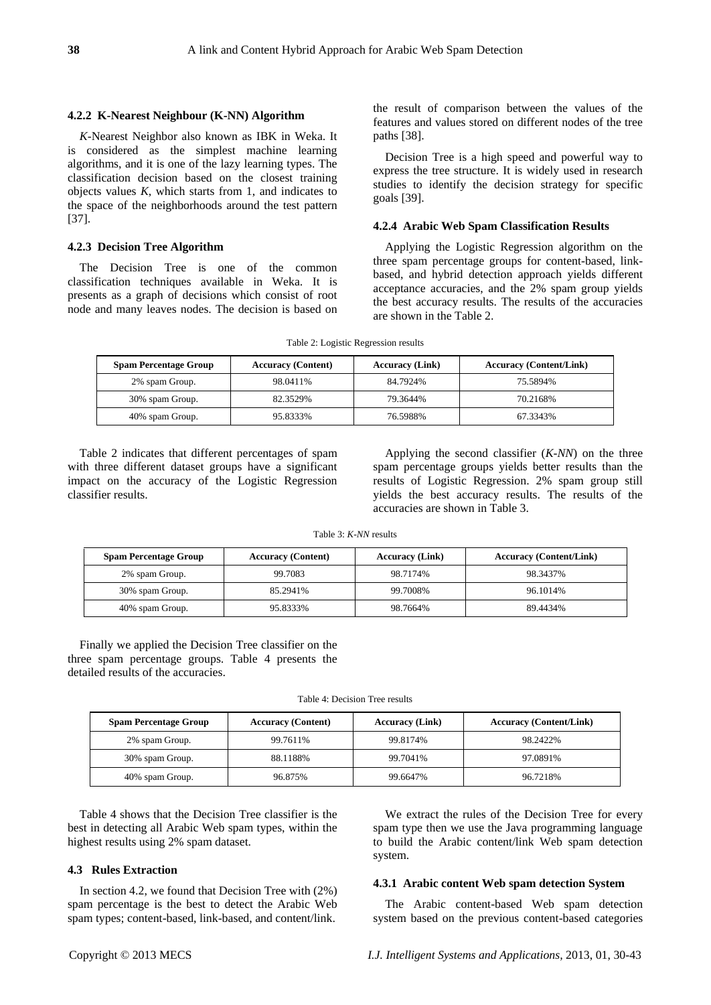## **4.2.2 K-Nearest Neighbour (K-NN) Algorithm**

*K*-Nearest Neighbor also known as IBK in Weka. It is considered as the simplest machine learning algorithms, and it is one of the lazy learning types. The classification decision based on the closest training objects values *K*, which starts from 1, and indicates to the space of the neighborhoods around the test pattern [37].

#### **4.2.3 Decision Tree Algorithm**

The Decision Tree is one of the common classification techniques available in Weka. It is presents as a graph of decisions which consist of root node and many leaves nodes. The decision is based on the result of comparison between the values of the features and values stored on different nodes of the tree paths [38].

Decision Tree is a high speed and powerful way to express the tree structure. It is widely used in research studies to identify the decision strategy for specific goals [39].

## **4.2.4 Arabic Web Spam Classification Results**

Applying the Logistic Regression algorithm on the three spam percentage groups for content-based, linkbased, and hybrid detection approach yields different acceptance accuracies, and the 2% spam group yields the best accuracy results. The results of the accuracies are shown in the Table 2.

| <b>Spam Percentage Group</b> | <b>Accuracy (Content)</b> | <b>Accuracy</b> (Link) | <b>Accuracy (Content/Link)</b> |
|------------------------------|---------------------------|------------------------|--------------------------------|
| 2% spam Group.               | 98.0411%                  | 84.7924%               | 75.5894%                       |
| 30% spam Group.              | 82.3529%                  | 79.3644%               | 70.2168%                       |
| 40% spam Group.              | 95.8333%                  | 76.5988%               | 67.3343%                       |
|                              |                           |                        |                                |

Table 2: Logistic Regression results

Table 2 indicates that different percentages of spam with three different dataset groups have a significant impact on the accuracy of the Logistic Regression classifier results.

Applying the second classifier (*K-NN*) on the three spam percentage groups yields better results than the results of Logistic Regression. 2% spam group still yields the best accuracy results. The results of the accuracies are shown in Table 3.

Table 3: *K-NN* results

| <b>Spam Percentage Group</b><br><b>Accuracy (Content)</b> |          | <b>Accuracy</b> (Link) | <b>Accuracy (Content/Link)</b> |  |
|-----------------------------------------------------------|----------|------------------------|--------------------------------|--|
| 2% spam Group.                                            | 99.7083  | 98.7174%               | 98.3437%                       |  |
| 30% spam Group.                                           | 85.2941% | 99.7008%               | 96.1014%                       |  |
| 40% spam Group.                                           | 95.8333% | 98.7664%               | 89.4434%                       |  |

Finally we applied the Decision Tree classifier on the three spam percentage groups. Table 4 presents the detailed results of the accuracies.

| Table 4: Decision Tree results |  |
|--------------------------------|--|
|--------------------------------|--|

| <b>Spam Percentage Group</b><br><b>Accuracy (Content)</b> |          | <b>Accuracy</b> (Link) | <b>Accuracy (Content/Link)</b> |  |
|-----------------------------------------------------------|----------|------------------------|--------------------------------|--|
| 2% spam Group.                                            | 99.7611% | 99.8174%               | 98.2422%                       |  |
| 30% spam Group.                                           | 88.1188% | 99.7041\%              | 97.0891%                       |  |
| 40% spam Group.                                           | 96.875%  | 99.6647%               | 96.7218%                       |  |

Table 4 shows that the Decision Tree classifier is the best in detecting all Arabic Web spam types, within the highest results using 2% spam dataset.

#### **4.3 Rules Extraction**

In section 4.2, we found that Decision Tree with (2%) spam percentage is the best to detect the Arabic Web spam types; content-based, link-based, and content/link.

We extract the rules of the Decision Tree for every spam type then we use the Java programming language to build the Arabic content/link Web spam detection system.

#### **4.3.1 Arabic content Web spam detection System**

The Arabic content-based Web spam detection system based on the previous content-based categories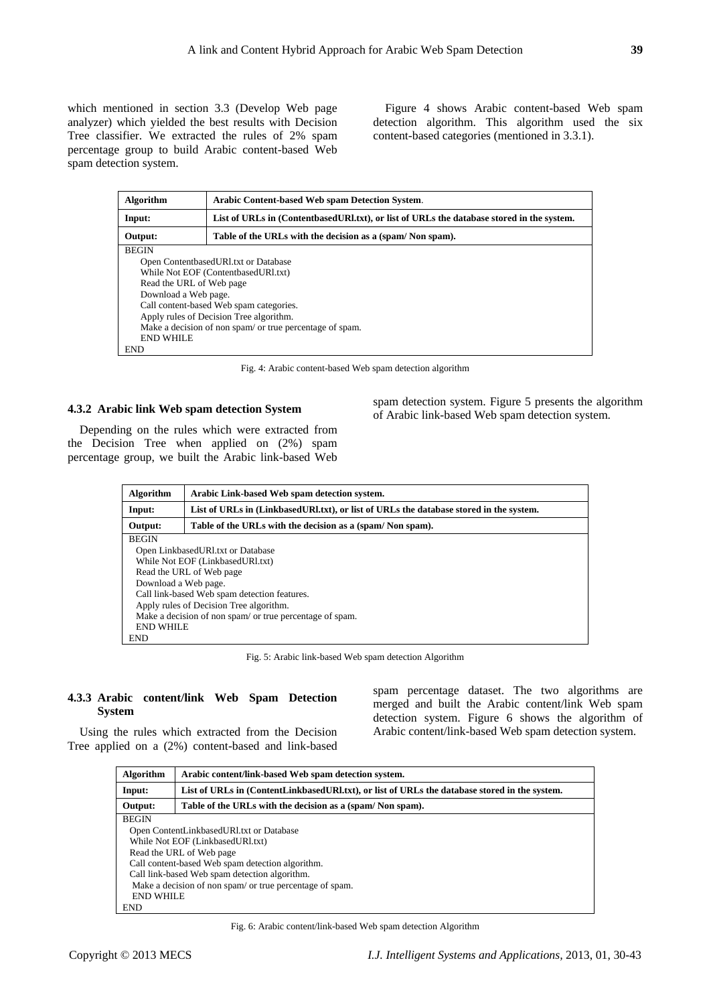which mentioned in section 3.3 (Develop Web page analyzer) which yielded the best results with Decision Tree classifier. We extracted the rules of 2% spam percentage group to build Arabic content-based Web spam detection system.

Figure 4 shows Arabic content-based Web spam detection algorithm. This algorithm used the six content-based categories (mentioned in 3.3.1).

| Algorithm                | <b>Arabic Content-based Web spam Detection System.</b>                                   |  |  |  |
|--------------------------|------------------------------------------------------------------------------------------|--|--|--|
| Input:                   | List of URLs in (Content based URLs), or list of URLs the database stored in the system. |  |  |  |
| Output:                  | Table of the URLs with the decision as a (spam/Non spam).                                |  |  |  |
| <b>BEGIN</b>             |                                                                                          |  |  |  |
|                          | Open ContentbasedUR1.txt or Database                                                     |  |  |  |
|                          | While Not EOF (ContentbasedUR1.txt)                                                      |  |  |  |
| Read the URL of Web page |                                                                                          |  |  |  |
| Download a Web page.     |                                                                                          |  |  |  |
|                          | Call content-based Web spam categories.                                                  |  |  |  |
|                          | Apply rules of Decision Tree algorithm.                                                  |  |  |  |
|                          | Make a decision of non spam/ or true percentage of spam.                                 |  |  |  |
| <b>END WHILE</b>         |                                                                                          |  |  |  |
| <b>END</b>               |                                                                                          |  |  |  |

Fig. 4: Arabic content-based Web spam detection algorithm

#### **4.3.2 Arabic link Web spam detection System**

Depending on the rules which were extracted from the Decision Tree when applied on (2%) spam percentage group, we built the Arabic link-based Web

spam detection system. Figure 5 presents the algorithm of Arabic link-based Web spam detection system.

| <b>Algorithm</b>                             | Arabic Link-based Web spam detection system.                                          |  |  |  |  |
|----------------------------------------------|---------------------------------------------------------------------------------------|--|--|--|--|
| Input:                                       | List of URLs in (LinkbasedURLtxt), or list of URLs the database stored in the system. |  |  |  |  |
| Output:                                      | Table of the URLs with the decision as a (spam/Non spam).                             |  |  |  |  |
| <b>BEGIN</b>                                 |                                                                                       |  |  |  |  |
|                                              | Open LinkbasedURl.txt or Database                                                     |  |  |  |  |
|                                              | While Not EOF (LinkbasedURl.txt)                                                      |  |  |  |  |
|                                              | Read the URL of Web page                                                              |  |  |  |  |
| Download a Web page.                         |                                                                                       |  |  |  |  |
| Call link-based Web spam detection features. |                                                                                       |  |  |  |  |
|                                              | Apply rules of Decision Tree algorithm.                                               |  |  |  |  |
|                                              | Make a decision of non spam/ or true percentage of spam.                              |  |  |  |  |
| <b>END WHILE</b>                             |                                                                                       |  |  |  |  |
| <b>END</b>                                   |                                                                                       |  |  |  |  |

Fig. 5: Arabic link-based Web spam detection Algorithm

# **4.3.3 Arabic content/link Web Spam Detection System**

spam percentage dataset. The two algorithms are merged and built the Arabic content/link Web spam detection system. Figure 6 shows the algorithm of Arabic content/link-based Web spam detection system.

Using the rules which extracted from the Decision Tree applied on a (2%) content-based and link-based

| <b>Algorithm</b>                                 | Arabic content/link-based Web spam detection system.                                         |  |  |  |  |
|--------------------------------------------------|----------------------------------------------------------------------------------------------|--|--|--|--|
| Input:                                           | List of URLs in (ContentLinkbasedURLtxt), or list of URLs the database stored in the system. |  |  |  |  |
| Output:                                          | Table of the URLs with the decision as a (spam/Non spam).                                    |  |  |  |  |
| <b>BEGIN</b>                                     |                                                                                              |  |  |  |  |
|                                                  | Open ContentLinkbasedURLtxt or Database                                                      |  |  |  |  |
|                                                  | While Not EOF (LinkbasedURl.txt)                                                             |  |  |  |  |
|                                                  | Read the URL of Web page                                                                     |  |  |  |  |
| Call content-based Web spam detection algorithm. |                                                                                              |  |  |  |  |
| Call link-based Web spam detection algorithm.    |                                                                                              |  |  |  |  |
|                                                  | Make a decision of non spam/ or true percentage of spam.                                     |  |  |  |  |
| <b>END WHILE</b>                                 |                                                                                              |  |  |  |  |
| <b>END</b>                                       |                                                                                              |  |  |  |  |

Fig. 6: Arabic content/link-based Web spam detection Algorithm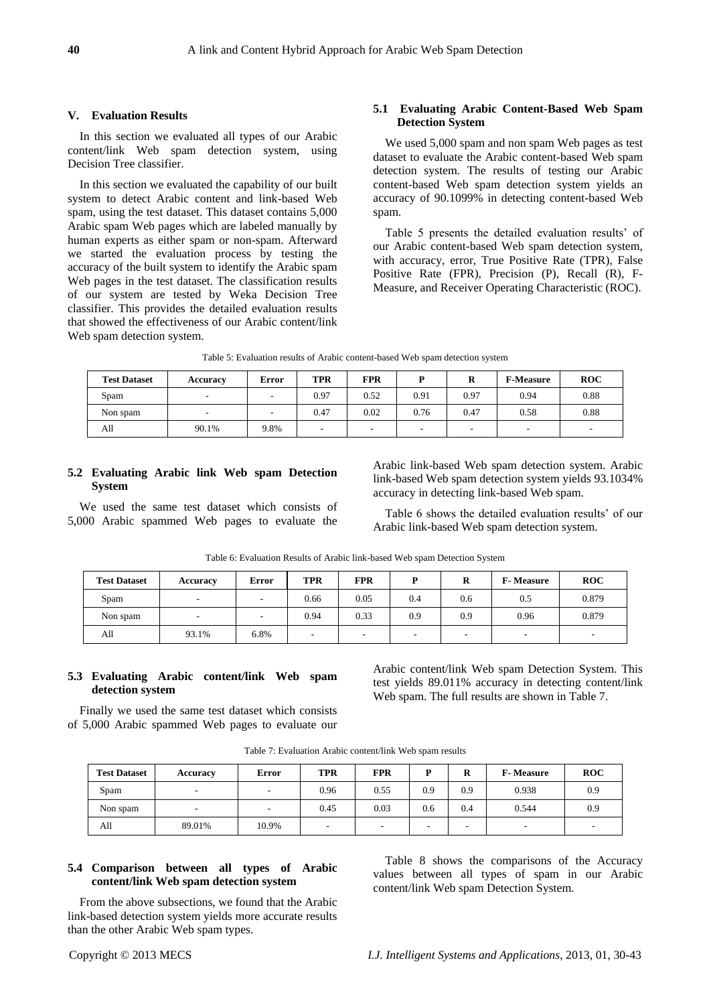## **V. Evaluation Results**

In this section we evaluated all types of our Arabic content/link Web spam detection system, using Decision Tree classifier.

In this section we evaluated the capability of our built system to detect Arabic content and link-based Web spam, using the test dataset. This dataset contains 5,000 Arabic spam Web pages which are labeled manually by human experts as either spam or non-spam. Afterward we started the evaluation process by testing the accuracy of the built system to identify the Arabic spam Web pages in the test dataset. The classification results of our system are tested by Weka Decision Tree classifier. This provides the detailed evaluation results that showed the effectiveness of our Arabic content/link Web spam detection system.

# **5.1 Evaluating Arabic Content-Based Web Spam Detection System**

We used 5,000 spam and non spam Web pages as test dataset to evaluate the Arabic content-based Web spam detection system. The results of testing our Arabic content-based Web spam detection system yields an accuracy of 90.1099% in detecting content-based Web spam.

Table 5 presents the detailed evaluation results' of our Arabic content-based Web spam detection system, with accuracy, error, True Positive Rate (TPR), False Positive Rate (FPR), Precision (P), Recall (R), F-Measure, and Receiver Operating Characteristic (ROC).

| <b>Test Dataset</b> | <b>Accuracy</b>          | <b>Error</b> | <b>TPR</b>               | <b>FPR</b> |                          | D<br>A                   | <b>F-Measure</b>         | <b>ROC</b> |
|---------------------|--------------------------|--------------|--------------------------|------------|--------------------------|--------------------------|--------------------------|------------|
| Spam                | $\overline{\phantom{0}}$ | -            | 0.97                     | 0.52       | 0.91                     | 0.97                     | 0.94                     | 0.88       |
| Non spam            | -                        | ۰            | 0.47                     | 0.02       | 0.76                     | 0.47                     | 0.58                     | 0.88       |
| All                 | 90.1%                    | 9.8%         | $\overline{\phantom{0}}$ |            | $\overline{\phantom{0}}$ | $\overline{\phantom{a}}$ | $\overline{\phantom{a}}$ |            |
|                     |                          |              |                          |            |                          |                          |                          |            |

Table 5: Evaluation results of Arabic content-based Web spam detection system

# **5.2 Evaluating Arabic link Web spam Detection System**

We used the same test dataset which consists of 5,000 Arabic spammed Web pages to evaluate the

Arabic link-based Web spam detection system. Arabic link-based Web spam detection system yields 93.1034% accuracy in detecting link-based Web spam.

Table 6 shows the detailed evaluation results' of our Arabic link-based Web spam detection system.

| <b>Test Dataset</b> | Accuracy                 | <b>Error</b>             | <b>TPR</b> | <b>FPR</b>               |     | л   | <b>F-Measure</b>         | <b>ROC</b>               |
|---------------------|--------------------------|--------------------------|------------|--------------------------|-----|-----|--------------------------|--------------------------|
| Spam                | $\overline{\phantom{a}}$ | $\overline{\phantom{0}}$ | 0.66       | 0.05                     | 0.4 | 0.6 | 0.5                      | 0.879                    |
| Non spam            | -                        | $\overline{\phantom{a}}$ | 0.94       | 0.33                     | 0.9 | 0.9 | 0.96                     | 0.879                    |
| All                 | 93.1%                    | 6.8%                     | -          | $\overline{\phantom{a}}$ |     | -   | $\overline{\phantom{a}}$ | $\overline{\phantom{a}}$ |

Table 6: Evaluation Results of Arabic link-based Web spam Detection System

## **5.3 Evaluating Arabic content/link Web spam detection system**

Arabic content/link Web spam Detection System. This test yields 89.011% accuracy in detecting content/link Web spam. The full results are shown in Table 7.

Finally we used the same test dataset which consists of 5,000 Arabic spammed Web pages to evaluate our

| Table 7: Evaluation Arabic content/link Web spam results |  |  |  |
|----------------------------------------------------------|--|--|--|
|----------------------------------------------------------|--|--|--|

| <b>Test Dataset</b> | Accuracy                 | Error                    | <b>TPR</b>               | <b>FPR</b> |     | D<br>ĸ | <b>F-Measure</b> | <b>ROC</b> |
|---------------------|--------------------------|--------------------------|--------------------------|------------|-----|--------|------------------|------------|
| Spam                | $\overline{\phantom{a}}$ | $\overline{\phantom{a}}$ | 0.96                     | 0.55       | 0.9 | 0.9    | 0.938            | 0.9        |
| Non spam            | -                        | -                        | 0.45                     | 0.03       | 0.6 | 0.4    | 0.544            | 0.9        |
| All                 | 89.01%                   | 10.9%                    | $\overline{\phantom{a}}$ |            | -   |        |                  |            |

# **5.4 Comparison between all types of Arabic content/link Web spam detection system**

From the above subsections, we found that the Arabic link-based detection system yields more accurate results than the other Arabic Web spam types.

Table 8 shows the comparisons of the Accuracy values between all types of spam in our Arabic content/link Web spam Detection System.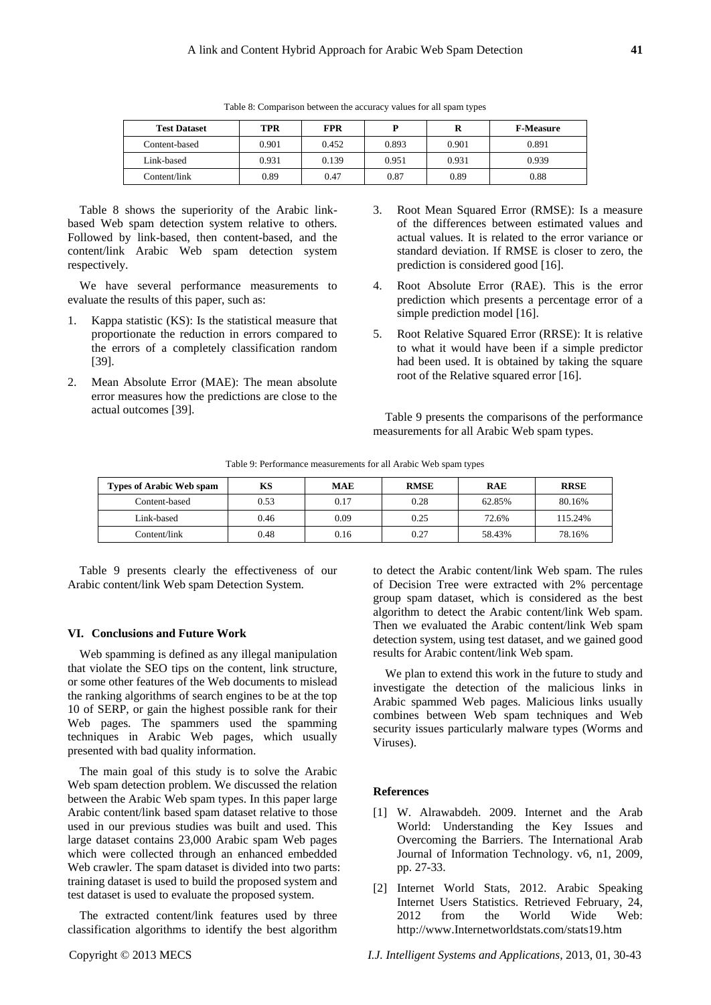| <b>Test Dataset</b> | TPR   | <b>FPR</b> |       |       | <b>F-Measure</b> |
|---------------------|-------|------------|-------|-------|------------------|
| Content-based       | 0.901 | 0.452      | 0.893 | 0.901 | 0.891            |
| Link-based          | 0.931 | 0.139      | 0.951 | 0.931 | 0.939            |
| Content/link        | 0.89  | 0.47       | 0.87  | 0.89  | 0.88             |

Table 8: Comparison between the accuracy values for all spam types

Table 8 shows the superiority of the Arabic linkbased Web spam detection system relative to others. Followed by link-based, then content-based, and the content/link Arabic Web spam detection system respectively.

We have several performance measurements to evaluate the results of this paper, such as:

- 1. Kappa statistic (KS): Is the statistical measure that proportionate the reduction in errors compared to the errors of a completely classification random [39].
- 2. Mean Absolute Error (MAE): The mean absolute error measures how the predictions are close to the actual outcomes [39].
- 3. Root Mean Squared Error (RMSE): Is a measure of the differences between estimated values and actual values. It is related to the error variance or standard deviation. If RMSE is closer to zero, the prediction is considered good [16].
- 4. Root Absolute Error (RAE). This is the error prediction which presents a percentage error of a simple prediction model [16].
- 5. Root Relative Squared Error (RRSE): It is relative to what it would have been if a simple predictor had been used. It is obtained by taking the square root of the Relative squared error [16].

Table 9 presents the comparisons of the performance measurements for all Arabic Web spam types.

| Table 9: Performance measurements for all Arabic Web spam types |  |
|-----------------------------------------------------------------|--|
|-----------------------------------------------------------------|--|

| <b>Types of Arabic Web spam</b> | KS   | <b>MAE</b> | <b>RMSE</b> | <b>RAE</b> | <b>RRSE</b> |
|---------------------------------|------|------------|-------------|------------|-------------|
| Content-based                   | 0.53 | 0.17       | 0.28        | 62.85%     | 80.16%      |
| Link-based                      | 0.46 | 0.09       | 0.25        | 72.6%      | 115.24%     |
| Content/link                    | 0.48 | 0.16       | 0.27        | 58.43%     | 78.16%      |

Table 9 presents clearly the effectiveness of our Arabic content/link Web spam Detection System.

## **VI. Conclusions and Future Work**

Web spamming is defined as any illegal manipulation that violate the SEO tips on the content, link structure, or some other features of the Web documents to mislead the ranking algorithms of search engines to be at the top 10 of SERP, or gain the highest possible rank for their Web pages. The spammers used the spamming techniques in Arabic Web pages, which usually presented with bad quality information.

The main goal of this study is to solve the Arabic Web spam detection problem. We discussed the relation between the Arabic Web spam types. In this paper large Arabic content/link based spam dataset relative to those used in our previous studies was built and used. This large dataset contains 23,000 Arabic spam Web pages which were collected through an enhanced embedded Web crawler. The spam dataset is divided into two parts: training dataset is used to build the proposed system and test dataset is used to evaluate the proposed system.

The extracted content/link features used by three classification algorithms to identify the best algorithm to detect the Arabic content/link Web spam. The rules of Decision Tree were extracted with 2% percentage group spam dataset, which is considered as the best algorithm to detect the Arabic content/link Web spam. Then we evaluated the Arabic content/link Web spam detection system, using test dataset, and we gained good results for Arabic content/link Web spam.

We plan to extend this work in the future to study and investigate the detection of the malicious links in Arabic spammed Web pages. Malicious links usually combines between Web spam techniques and Web security issues particularly malware types (Worms and Viruses).

#### **References**

- [1] W. Alrawabdeh. 2009. Internet and the Arab World: Understanding the Key Issues and Overcoming the Barriers. The International Arab Journal of Information Technology. v6, n1, 2009, pp. 27-33.
- [2] Internet World Stats, 2012. Arabic Speaking Internet Users Statistics. Retrieved February, 24, 2012 from the World Wide Web: [http://www.Internetworldstats.com/stats19.htm](http://www.internetworldstats.com/stats19.htm)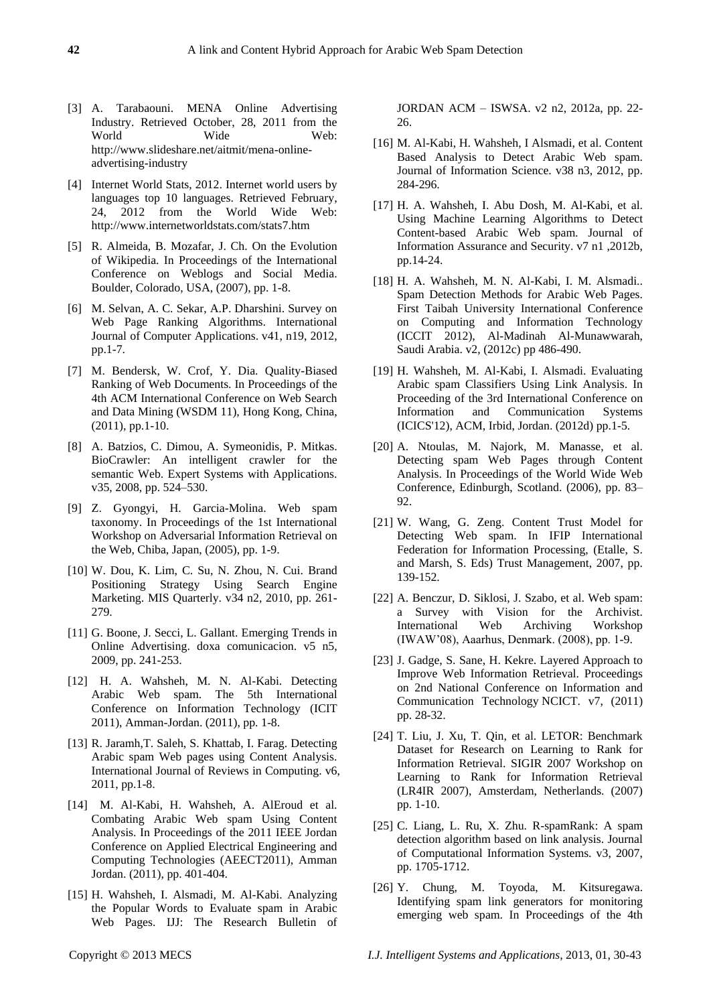- [3] A. Tarabaouni. MENA Online Advertising Industry. Retrieved October, 28, 2011 from the World Wide Web: [http://www.slideshare.net/aitmit/mena-online](http://www.slideshare.net/aitmit/mena-online-advertising-industry)[advertising-industry](http://www.slideshare.net/aitmit/mena-online-advertising-industry)
- [4] Internet World Stats, 2012. Internet world users by languages top 10 languages. Retrieved February, 24, 2012 from the World Wide Web: <http://www.internetworldstats.com/stats7.htm>
- [5] R. Almeida, B. Mozafar, J. Ch. On the Evolution of Wikipedia. In Proceedings of the International Conference on Weblogs and Social Media. Boulder, Colorado, USA, (2007), pp. 1-8.
- [6] M. Selvan, A. C. Sekar, A.P. Dharshini. Survey on Web Page Ranking Algorithms. International Journal of Computer Applications. v41, n19, 2012, pp.1-7.
- [7] M. Bendersk, W. Crof, Y. Dia. Quality-Biased Ranking of Web Documents. In Proceedings of the 4th ACM International Conference on Web Search and Data Mining (WSDM 11), Hong Kong, China, (2011), pp.1-10.
- [8] A. Batzios, C. Dimou, A. Symeonidis, P. Mitkas. BioCrawler: An intelligent crawler for the semantic Web. Expert Systems with Applications. v35, 2008, pp. 524–530.
- [9] Z. Gyongyi, H. Garcia-Molina. Web spam taxonomy. In Proceedings of the 1st International Workshop on Adversarial Information Retrieval on the Web, Chiba, Japan, (2005), pp. 1-9.
- [10] W. Dou, K. Lim, C. Su, N. Zhou, N. Cui. Brand Positioning Strategy Using Search Engine Marketing. MIS Quarterly. v34 n2, 2010, pp. 261- 279.
- [11] G. Boone, J. Secci, L. Gallant. Emerging Trends in Online Advertising. doxa comunicacion. v5 n5, 2009, pp. 241-253.
- [12] H. A. Wahsheh, M. N. Al-Kabi. Detecting Arabic Web spam. The 5th International Conference on Information Technology (ICIT 2011), Amman-Jordan. (2011), pp. 1-8.
- [13] R. Jaramh,T. Saleh, S. Khattab, I. Farag. Detecting Arabic spam Web pages using Content Analysis. International Journal of Reviews in Computing. v6, 2011, pp.1-8.
- [14] M. Al-Kabi, H. Wahsheh, A. AlEroud et al. Combating Arabic Web spam Using Content Analysis. In Proceedings of the 2011 IEEE Jordan Conference on Applied Electrical Engineering and Computing Technologies (AEECT2011), Amman Jordan. (2011), pp. 401-404.
- [15] H. Wahsheh, I. Alsmadi, M. Al-Kabi. Analyzing the Popular Words to Evaluate spam in Arabic Web Pages. IJJ: The Research Bulletin of

JORDAN ACM – ISWSA. v2 n2, 2012a, pp. 22- 26.

- [16] M. Al-Kabi, H. Wahsheh, I Alsmadi, et al. Content Based Analysis to Detect Arabic Web spam. Journal of Information Science. v38 n3, 2012, pp. 284-296.
- [17] H. A. Wahsheh, I. Abu Dosh, M. Al-Kabi, et al. Using Machine Learning Algorithms to Detect Content-based Arabic Web spam. Journal of Information Assurance and Security. v7 n1 ,2012b, pp.14-24.
- [18] H. A. Wahsheh, M. N. Al-Kabi, I. M. Alsmadi.. Spam Detection Methods for Arabic Web Pages. First Taibah University International Conference on Computing and Information Technology (ICCIT 2012), Al-Madinah Al-Munawwarah, Saudi Arabia. v2, (2012c) pp 486-490.
- [19] H. Wahsheh, M. Al-Kabi, I. Alsmadi. Evaluating Arabic spam Classifiers Using Link Analysis. In Proceeding of the 3rd International Conference on Information and Communication Systems (ICICS'12), ACM, Irbid, Jordan. (2012d) pp.1-5.
- [20] A. Ntoulas, M. Najork, M. Manasse, et al. Detecting spam Web Pages through Content Analysis. In Proceedings of the World Wide Web Conference, Edinburgh, Scotland. (2006), pp. 83– 92.
- [21] W. Wang, G. Zeng. Content Trust Model for Detecting Web spam. In IFIP International Federation for Information Processing, (Etalle, S. and Marsh, S. Eds) Trust Management, 2007, pp. 139-152.
- [22] A. Benczur, D. Siklosi, J. Szabo, et al. Web spam: a Survey with Vision for the Archivist. International Web Archiving Workshop (IWAW'08), Aaarhus, Denmark. (2008), pp. 1-9.
- [23] J. Gadge, S. Sane, H. Kekre. Layered Approach to Improve Web Information Retrieval. Proceedings on 2nd National Conference on Information and Communication Technology NCICT. v7, (2011) pp. 28-32.
- [24] T. Liu, J. Xu, T. Qin, et al. LETOR: Benchmark Dataset for Research on Learning to Rank for Information Retrieval. SIGIR 2007 Workshop on Learning to Rank for Information Retrieval (LR4IR 2007), Amsterdam, Netherlands. (2007) pp. 1-10.
- [25] C. Liang, L. Ru, X. Zhu. R-spamRank: A spam detection algorithm based on link analysis. Journal of Computational Information Systems. v3, 2007, pp. 1705-1712.
- [26] Y. [Chung,](http://dl.acm.org/author_page.cfm?id=81418594270&coll=DL&dl=ACM&trk=0&cfid=107209105&cftoken=45065670) M. [Toyoda,](http://dl.acm.org/author_page.cfm?id=81100405755&coll=DL&dl=ACM&trk=0&cfid=107209105&cftoken=45065670) M. [Kitsuregawa.](http://dl.acm.org/author_page.cfm?id=81100417887&coll=DL&dl=ACM&trk=0&cfid=107209105&cftoken=45065670) Identifying spam link generators for monitoring emerging web spam. In Proceedings of the 4th